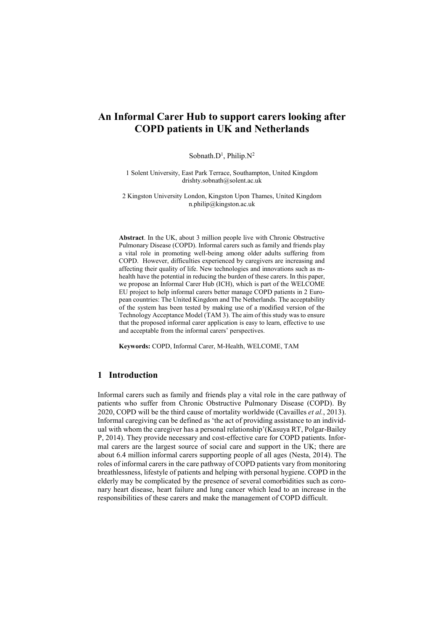# **An Informal Carer Hub to support carers looking after COPD patients in UK and Netherlands**

#### Sobnath.D<sup>1</sup>, Philip.N<sup>2</sup>

1 Solent University, East Park Terrace, Southampton, United Kingdom drishty.sobnath@solent.ac.uk

2 Kingston University London, Kingston Upon Thames, United Kingdom n.philip@kingston.ac.uk

**Abstract**. In the UK, about 3 million people live with Chronic Obstructive Pulmonary Disease (COPD). Informal carers such as family and friends play a vital role in promoting well-being among older adults suffering from COPD. However, difficulties experienced by caregivers are increasing and affecting their quality of life. New technologies and innovations such as mhealth have the potential in reducing the burden of these carers. In this paper, we propose an Informal Carer Hub (ICH), which is part of the WELCOME EU project to help informal carers better manage COPD patients in 2 European countries: The United Kingdom and The Netherlands. The acceptability of the system has been tested by making use of a modified version of the Technology Acceptance Model (TAM 3). The aim of this study was to ensure that the proposed informal carer application is easy to learn, effective to use and acceptable from the informal carers' perspectives.

**Keywords:** COPD, Informal Carer, M-Health, WELCOME, TAM

### **1 Introduction**

Informal carers such as family and friends play a vital role in the care pathway of patients who suffer from Chronic Obstructive Pulmonary Disease (COPD). By 2020, COPD will be the third cause of mortality worldwide (Cavailles *et al.*, 2013). Informal caregiving can be defined as 'the act of providing assistance to an individual with whom the caregiver has a personal relationship'(Kasuya RT, Polgar-Bailey P, 2014). They provide necessary and cost-effective care for COPD patients. Informal carers are the largest source of social care and support in the UK; there are about 6.4 million informal carers supporting people of all ages (Nesta, 2014). The roles of informal carers in the care pathway of COPD patients vary from monitoring breathlessness, lifestyle of patients and helping with personal hygiene. COPD in the elderly may be complicated by the presence of several comorbidities such as coronary heart disease, heart failure and lung cancer which lead to an increase in the responsibilities of these carers and make the management of COPD difficult.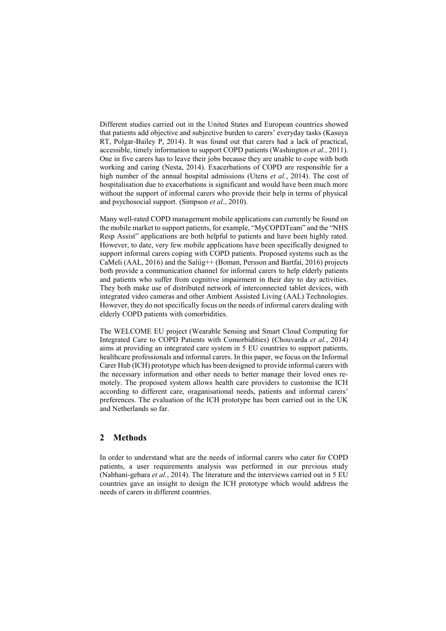Different studies carried out in the United States and European countries showed that patients add objective and subjective burden to carers' everyday tasks (Kasuya RT, Polgar-Bailey P, 2014). It was found out that carers had a lack of practical, accessible, timely information to support COPD patients (Washington *et al.*, 2011). One in five carers has to leave their jobs because they are unable to cope with both working and caring (Nesta, 2014). Exacerbations of COPD are responsible for a high number of the annual hospital admissions (Utens *et al.*, 2014). The cost of hospitalisation due to exacerbations is significant and would have been much more without the support of informal carers who provide their help in terms of physical and psychosocial support. (Simpson *et al.*, 2010).

Many well-rated COPD management mobile applications can currently be found on the mobile market to support patients, for example, "MyCOPDTeam" and the "NHS Resp Assist" applications are both helpful to patients and have been highly rated. However, to date, very few mobile applications have been specifically designed to support informal carers coping with COPD patients. Proposed systems such as the CaMeli (AAL, 2016) and the Saliig++ (Boman, Persson and Bartfai, 2016) projects both provide a communication channel for informal carers to help elderly patients and patients who suffer from cognitive impairment in their day to day activities. They both make use of distributed network of interconnected tablet devices, with integrated video cameras and other Ambient Assisted Living (AAL) Technologies. However, they do not specifically focus on the needs of informal carers dealing with elderly COPD patients with comorbidities.

The WELCOME EU project (Wearable Sensing and Smart Cloud Computing for Integrated Care to COPD Patients with Comorbidities) (Chouvarda *et al.*, 2014) aims at providing an integrated care system in 5 EU countries to support patients, healthcare professionals and informal carers. In this paper, we focus on the Informal Carer Hub (ICH) prototype which has been designed to provide informal carers with the necessary information and other needs to better manage their loved ones remotely. The proposed system allows health care providers to customise the ICH according to different care, oraganisational needs, patients and informal carers' preferences. The evaluation of the ICH prototype has been carried out in the UK and Netherlands so far.

## **2 Methods**

In order to understand what are the needs of informal carers who cater for COPD patients, a user requirements analysis was performed in our previous study (Nabhani-gebara *et al.*, 2014). The literature and the interviews carried out in 5 EU countries gave an insight to design the ICH prototype which would address the needs of carers in different countries.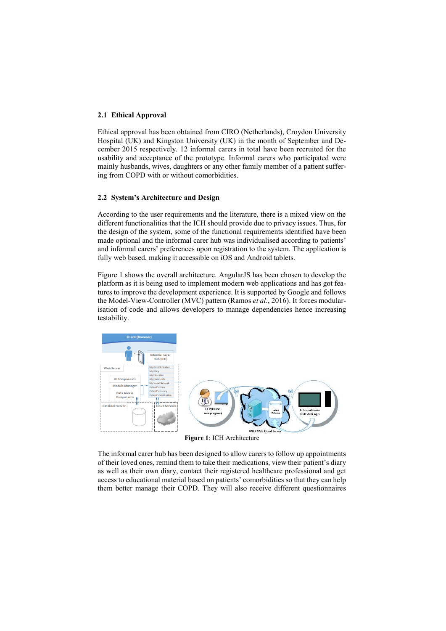### **2.1 Ethical Approval**

Ethical approval has been obtained from CIRO (Netherlands), Croydon University Hospital (UK) and Kingston University (UK) in the month of September and December 2015 respectively. 12 informal carers in total have been recruited for the usability and acceptance of the prototype. Informal carers who participated were mainly husbands, wives, daughters or any other family member of a patient suffering from COPD with or without comorbidities.

#### **2.2 System's Architecture and Design**

According to the user requirements and the literature, there is a mixed view on the different functionalities that the ICH should provide due to privacy issues. Thus, for the design of the system, some of the functional requirements identified have been made optional and the informal carer hub was individualised according to patients' and informal carers' preferences upon registration to the system. The application is fully web based, making it accessible on iOS and Android tablets.

[Figure 1](#page-2-0) shows the overall architecture. AngularJS has been chosen to develop the platform as it is being used to implement modern web applications and has got features to improve the development experience. It is supported by Google and follows the Model-View-Controller (MVC) pattern (Ramos *et al.*, 2016). It forces modularisation of code and allows developers to manage dependencies hence increasing testability.



**Figure 1**: ICH Architecture

<span id="page-2-0"></span>The informal carer hub has been designed to allow carers to follow up appointments of their loved ones, remind them to take their medications, view their patient's diary as well as their own diary, contact their registered healthcare professional and get access to educational material based on patients' comorbidities so that they can help them better manage their COPD. They will also receive different questionnaires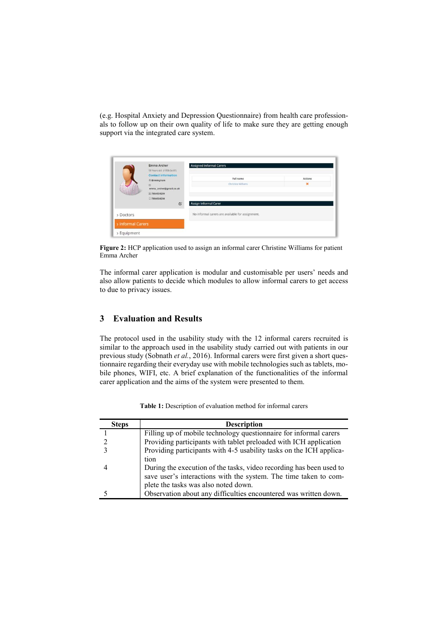(e.g. Hospital Anxiety and Depression Questionnaire) from health care professionals to follow up on their own quality of life to make sure they are getting enough support via the integrated care system.

|                   | Emma Archer<br>59 Years old (1958-04-01)<br><b>Contact information</b><br><b>音 Birmingham</b><br>ਲ | <b>Assigned Informal Carers</b>                  |                               |  |
|-------------------|----------------------------------------------------------------------------------------------------|--------------------------------------------------|-------------------------------|--|
|                   |                                                                                                    | Full name<br>Christine Williams                  | <b>Actions</b><br>$\mathbf x$ |  |
|                   | E 7864534254<br>27864534254<br>$\alpha$                                                            | <b>Assign Informal Carer</b>                     |                               |  |
| > Doctors         |                                                                                                    | No informal carers are available for assignment. |                               |  |
| > Informal Carers |                                                                                                    |                                                  |                               |  |
| > Equipment       |                                                                                                    |                                                  |                               |  |

**Figure 2:** HCP application used to assign an informal carer Christine Williams for patient Emma Archer

The informal carer application is modular and customisable per users' needs and also allow patients to decide which modules to allow informal carers to get access to due to privacy issues.

## **3 Evaluation and Results**

The protocol used in the usability study with the 12 informal carers recruited is similar to the approach used in the usability study carried out with patients in our previous study (Sobnath *et al.*, 2016). Informal carers were first given a short questionnaire regarding their everyday use with mobile technologies such as tablets, mobile phones, WIFI, etc. A brief explanation of the functionalities of the informal carer application and the aims of the system were presented to them.

| <b>Steps</b> | <b>Description</b>                                                  |  |
|--------------|---------------------------------------------------------------------|--|
|              | Filling up of mobile technology questionnaire for informal carers   |  |
|              | Providing participants with tablet preloaded with ICH application   |  |
|              | Providing participants with 4-5 usability tasks on the ICH applica- |  |
|              | tion                                                                |  |
|              | During the execution of the tasks, video recording has been used to |  |
|              | save user's interactions with the system. The time taken to com-    |  |
|              | plete the tasks was also noted down.                                |  |
|              | Observation about any difficulties encountered was written down.    |  |

**Table 1:** Description of evaluation method for informal carers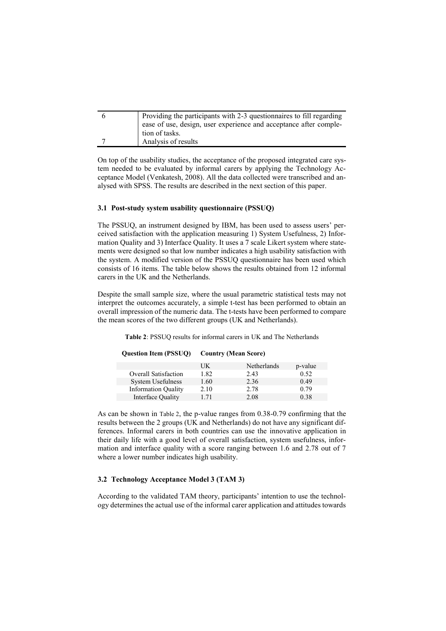| Providing the participants with 2-3 questionnaires to fill regarding |  |  |
|----------------------------------------------------------------------|--|--|
| ease of use, design, user experience and acceptance after comple-    |  |  |
| tion of tasks.                                                       |  |  |
| Analysis of results                                                  |  |  |

On top of the usability studies, the acceptance of the proposed integrated care system needed to be evaluated by informal carers by applying the Technology Acceptance Model (Venkatesh, 2008). All the data collected were transcribed and analysed with SPSS. The results are described in the next section of this paper.

### **3.1 Post-study system usability questionnaire (PSSUQ)**

The PSSUQ, an instrument designed by IBM, has been used to assess users' perceived satisfaction with the application measuring 1) System Usefulness, 2) Information Quality and 3) Interface Quality. It uses a 7 scale Likert system where statements were designed so that low number indicates a high usability satisfaction with the system. A modified version of the PSSUQ questionnaire has been used which consists of 16 items. The table below shows the results obtained from 12 informal carers in the UK and the Netherlands.

Despite the small sample size, where the usual parametric statistical tests may not interpret the outcomes accurately, a simple t-test has been performed to obtain an overall impression of the numeric data. The t-tests have been performed to compare the mean scores of the two different groups (UK and Netherlands).

<span id="page-4-0"></span>**Table 2**: PSSUQ results for informal carers in UK and The Netherlands

| <b>Question Item (PSSUQ)</b> | <b>Country (Mean Score)</b> |
|------------------------------|-----------------------------|
|------------------------------|-----------------------------|

|                             | UK   | Netherlands | p-value |
|-----------------------------|------|-------------|---------|
| <b>Overall Satisfaction</b> | 1.82 | 2.43        | 0.52    |
| System Usefulness           | 1.60 | 2.36        | 0.49    |
| <b>Information Quality</b>  | 2.10 | 2.78        | 0.79    |
| Interface Quality           | 1 71 | 2.08        | 0.38    |

As can be shown in [Table 2](#page-4-0), the p-value ranges from 0.38-0.79 confirming that the results between the 2 groups (UK and Netherlands) do not have any significant differences. Informal carers in both countries can use the innovative application in their daily life with a good level of overall satisfaction, system usefulness, information and interface quality with a score ranging between 1.6 and 2.78 out of 7 where a lower number indicates high usability.

### **3.2 Technology Acceptance Model 3 (TAM 3)**

According to the validated TAM theory, participants' intention to use the technology determines the actual use of the informal carer application and attitudes towards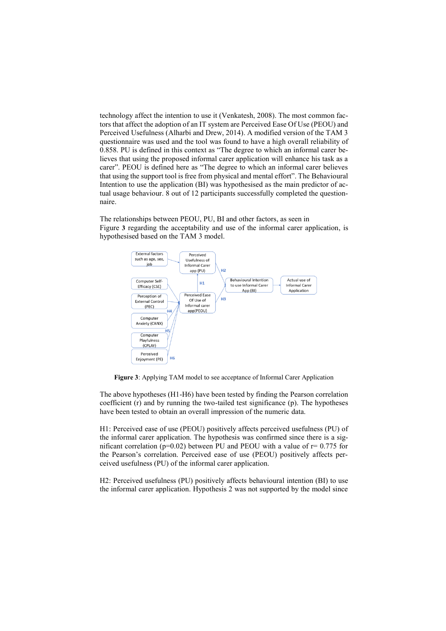technology affect the intention to use it (Venkatesh, 2008). The most common factors that affect the adoption of an IT system are Perceived Ease Of Use (PEOU) and Perceived Usefulness (Alharbi and Drew, 2014). A modified version of the TAM 3 questionnaire was used and the tool was found to have a high overall reliability of 0.858. PU is defined in this context as "The degree to which an informal carer believes that using the proposed informal carer application will enhance his task as a carer". PEOU is defined here as "The degree to which an informal carer believes that using the support tool is free from physical and mental effort". The Behavioural Intention to use the application (BI) was hypothesised as the main predictor of actual usage behaviour. 8 out of 12 participants successfully completed the questionnaire.

The relationships between PEOU, PU, BI and other factors, as seen i[n](#page-5-0)  [Figure](#page-5-0) **3** regarding the acceptability and use of the informal carer application, is hypothesised based on the TAM 3 model.



<span id="page-5-0"></span>**Figure 3**: Applying TAM model to see acceptance of Informal Carer Application

The above hypotheses (H1-H6) have been tested by finding the Pearson correlation coefficient (r) and by running the two-tailed test significance (p). The hypotheses have been tested to obtain an overall impression of the numeric data.

H1: Perceived ease of use (PEOU) positively affects perceived usefulness (PU) of the informal carer application. The hypothesis was confirmed since there is a significant correlation ( $p=0.02$ ) between PU and PEOU with a value of  $r=0.775$  for the Pearson's correlation. Perceived ease of use (PEOU) positively affects perceived usefulness (PU) of the informal carer application.

H2: Perceived usefulness (PU) positively affects behavioural intention (BI) to use the informal carer application. Hypothesis 2 was not supported by the model since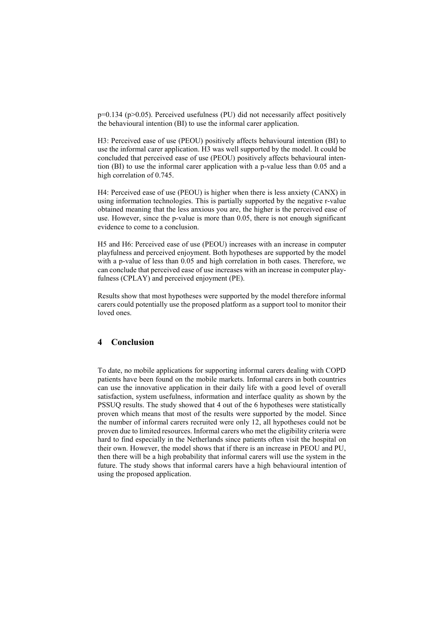p=0.134 (p>0.05). Perceived usefulness (PU) did not necessarily affect positively the behavioural intention (BI) to use the informal carer application.

H3: Perceived ease of use (PEOU) positively affects behavioural intention (BI) to use the informal carer application. H3 was well supported by the model. It could be concluded that perceived ease of use (PEOU) positively affects behavioural intention (BI) to use the informal carer application with a p-value less than 0.05 and a high correlation of 0.745.

H4: Perceived ease of use (PEOU) is higher when there is less anxiety (CANX) in using information technologies. This is partially supported by the negative r-value obtained meaning that the less anxious you are, the higher is the perceived ease of use. However, since the p-value is more than 0.05, there is not enough significant evidence to come to a conclusion.

H5 and H6: Perceived ease of use (PEOU) increases with an increase in computer playfulness and perceived enjoyment. Both hypotheses are supported by the model with a p-value of less than 0.05 and high correlation in both cases. Therefore, we can conclude that perceived ease of use increases with an increase in computer playfulness (CPLAY) and perceived enjoyment (PE).

Results show that most hypotheses were supported by the model therefore informal carers could potentially use the proposed platform as a support tool to monitor their loved ones.

## **4 Conclusion**

To date, no mobile applications for supporting informal carers dealing with COPD patients have been found on the mobile markets. Informal carers in both countries can use the innovative application in their daily life with a good level of overall satisfaction, system usefulness, information and interface quality as shown by the PSSUQ results. The study showed that 4 out of the 6 hypotheses were statistically proven which means that most of the results were supported by the model. Since the number of informal carers recruited were only 12, all hypotheses could not be proven due to limited resources. Informal carers who met the eligibility criteria were hard to find especially in the Netherlands since patients often visit the hospital on their own. However, the model shows that if there is an increase in PEOU and PU, then there will be a high probability that informal carers will use the system in the future. The study shows that informal carers have a high behavioural intention of using the proposed application.